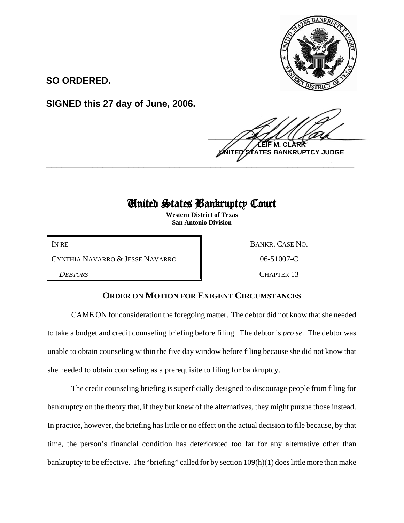

**SO ORDERED.**

**SIGNED this 27 day of June, 2006.**

 $\frac{1}{2}$ **LEIF M. CLARK BANKRUPTCY JUDGE \_\_\_\_\_\_\_\_\_\_\_\_\_\_\_\_\_\_\_\_\_\_\_\_\_\_\_\_\_\_\_\_\_\_\_\_\_\_\_\_\_\_\_\_\_\_\_\_\_\_\_\_\_\_\_\_\_\_\_\_**

## United States Bankruptcy Court

**Western District of Texas San Antonio Division**

CYNTHIA NAVARRO & JESSE NAVARRO  $\parallel$  06-51007-C

IN RE BANKR. CASE NO.

**DEBTORS** CHAPTER 13

## **ORDER ON MOTION FOR EXIGENT CIRCUMSTANCES**

CAME ON for consideration the foregoing matter. The debtor did not know that she needed to take a budget and credit counseling briefing before filing. The debtor is *pro se*. The debtor was unable to obtain counseling within the five day window before filing because she did not know that she needed to obtain counseling as a prerequisite to filing for bankruptcy.

The credit counseling briefing is superficially designed to discourage people from filing for bankruptcy on the theory that, if they but knew of the alternatives, they might pursue those instead. In practice, however, the briefing has little or no effect on the actual decision to file because, by that time, the person's financial condition has deteriorated too far for any alternative other than bankruptcy to be effective. The "briefing" called for by section 109(h)(1) does little more than make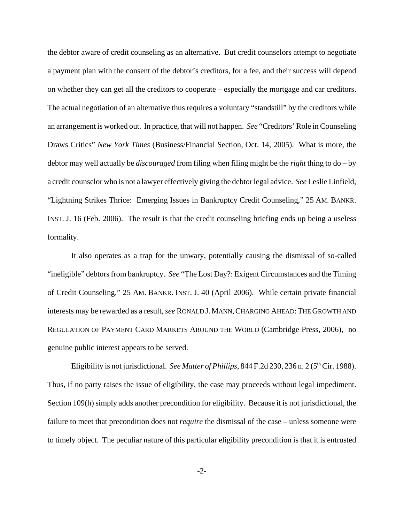the debtor aware of credit counseling as an alternative. But credit counselors attempt to negotiate a payment plan with the consent of the debtor's creditors, for a fee, and their success will depend on whether they can get all the creditors to cooperate – especially the mortgage and car creditors. The actual negotiation of an alternative thus requires a voluntary "standstill" by the creditors while an arrangement is worked out. In practice, that will not happen. *See* "Creditors' Role in Counseling Draws Critics" *New York Times* (Business/Financial Section, Oct. 14, 2005). What is more, the debtor may well actually be *discouraged* from filing when filing might be the *right* thing to do – by a credit counselor who is not a lawyer effectively giving the debtor legal advice. *See* Leslie Linfield, "Lightning Strikes Thrice: Emerging Issues in Bankruptcy Credit Counseling," 25 AM. BANKR. INST. J. 16 (Feb. 2006). The result is that the credit counseling briefing ends up being a useless formality.

It also operates as a trap for the unwary, potentially causing the dismissal of so-called "ineligible" debtors from bankruptcy. *See* "The Lost Day?: Exigent Circumstances and the Timing of Credit Counseling," 25 AM. BANKR. INST. J. 40 (April 2006). While certain private financial interests may be rewarded as a result, *see* RONALD J.MANN,CHARGING AHEAD:THE GROWTH AND REGULATION OF PAYMENT CARD MARKETS AROUND THE WORLD (Cambridge Press, 2006), no genuine public interest appears to be served.

Eligibility is not jurisdictional. *See Matter of Phillips*, 844 F.2d 230, 236 n. 2 (5<sup>th</sup> Cir. 1988). Thus, if no party raises the issue of eligibility, the case may proceeds without legal impediment. Section 109(h) simply adds another precondition for eligibility. Because it is not jurisdictional, the failure to meet that precondition does not *require* the dismissal of the case – unless someone were to timely object. The peculiar nature of this particular eligibility precondition is that it is entrusted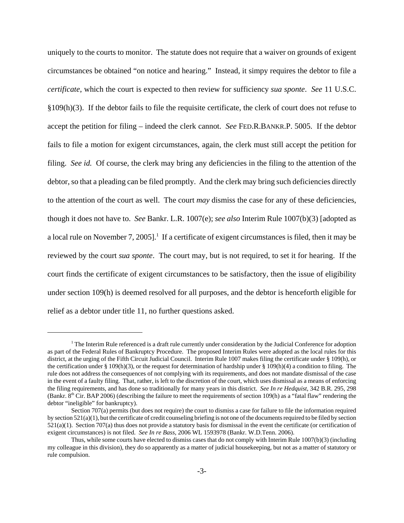uniquely to the courts to monitor. The statute does not require that a waiver on grounds of exigent circumstances be obtained "on notice and hearing." Instead, it simpy requires the debtor to file a *certificate*, which the court is expected to then review for sufficiency *sua sponte*. *See* 11 U.S.C. §109(h)(3). If the debtor fails to file the requisite certificate, the clerk of court does not refuse to accept the petition for filing – indeed the clerk cannot. *See* FED.R.BANKR.P. 5005. If the debtor fails to file a motion for exigent circumstances, again, the clerk must still accept the petition for filing. *See id.* Of course, the clerk may bring any deficiencies in the filing to the attention of the debtor, so that a pleading can be filed promptly. And the clerk may bring such deficiencies directly to the attention of the court as well. The court *may* dismiss the case for any of these deficiencies, though it does not have to. *See* Bankr. L.R. 1007(e); *see also* Interim Rule 1007(b)(3) [adopted as a local rule on November 7, 2005].<sup>1</sup> If a certificate of exigent circumstances is filed, then it may be reviewed by the court *sua sponte*. The court may, but is not required, to set it for hearing. If the court finds the certificate of exigent circumstances to be satisfactory, then the issue of eligibility under section 109(h) is deemed resolved for all purposes, and the debtor is henceforth eligible for relief as a debtor under title 11, no further questions asked.

<sup>&</sup>lt;sup>1</sup> The Interim Rule referenced is a draft rule currently under consideration by the Judicial Conference for adoption as part of the Federal Rules of Bankruptcy Procedure. The proposed Interim Rules were adopted as the local rules for this district, at the urging of the Fifth Circuit Judicial Council. Interim Rule 1007 makes filing the certificate under § 109(h), or the certification under § 109(h)(3), or the request for determination of hardship under § 109(h)(4) a condition to filing. The rule does not address the consequences of not complying with its requirements, and does not mandate dismissal of the case in the event of a faulty filing. That, rather, is left to the discretion of the court, which uses dismissal as a means of enforcing the filing requirements, and has done so traditionally for many years in this district. *See In re Hedquist*, 342 B.R. 295, 298 (Bankr.  $8<sup>th</sup>$  Cir. BAP 2006) (describing the failure to meet the requirements of section 109(h) as a "fatal flaw" rendering the debtor "ineligible" for bankruptcy).

Section 707(a) permits (but does not require) the court to dismiss a case for failure to file the information required by section 521(a)(1), but the certificate of credit counseling briefing is not one of the documents required to be filed by section  $521(a)(1)$ . Section 707(a) thus does not provide a statutory basis for dismissal in the event the certificate (or certification of exigent circumstances) is not filed. *See In re Bass*, 2006 WL 1593978 (Bankr. W.D.Tenn. 2006).

Thus, while some courts have elected to dismiss cases that do not comply with Interim Rule 1007(b)(3) (including my colleague in this division), they do so apparently as a matter of judicial housekeeping, but not as a matter of statutory or rule compulsion.